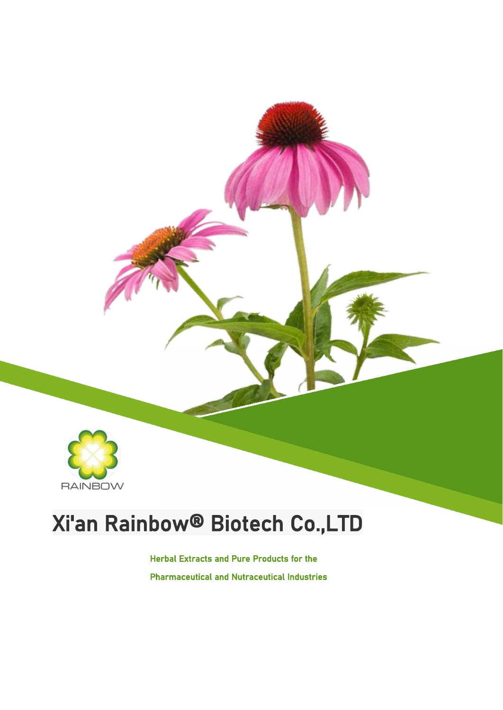

### Xi'an Rainbow® Biotech Co.,LTD

Herbal Extracts and Pure Products for the Pharmaceutical and Nutraceutical Industries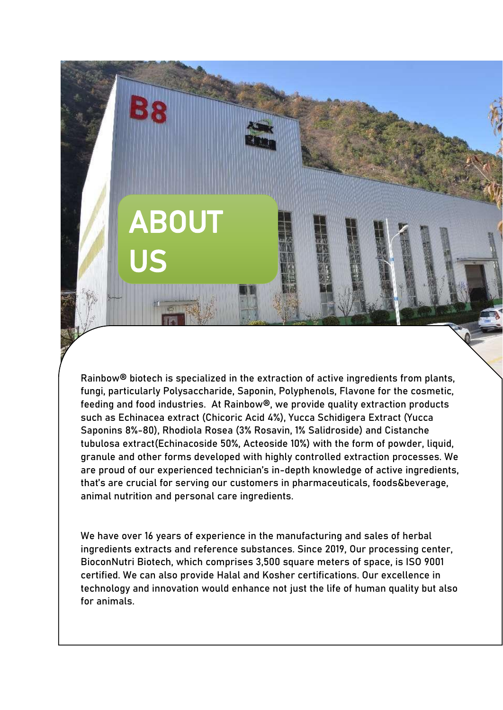

Rainbow® biotech is specialized in the extraction of active ingredients from plants, fungi, particularly Polysaccharide, Saponin, Polyphenols, Flavone for the cosmetic, feeding and food industries. At Rainbow®, we provide quality extraction products such as Echinacea extract (Chicoric Acid 4%), Yucca Schidigera Extract (Yucca Saponins 8%-80), Rhodiola Rosea (3% Rosavin, 1% Salidroside) and Cistanche tubulosa extract(Echinacoside 50%, Acteoside 10%) with the form of powder, liquid, granule and other forms developed with highly controlled extraction processes. We are proud of our experienced technician's in-depth knowledge of active ingredients, that's are crucial for serving our customers in pharmaceuticals, foods&beverage, animal nutrition and personal care ingredients.

We have over 16 years of experience in the manufacturing and sales of herbal ingredients extracts and reference substances. Since 2019, Our processing center, BioconNutri Biotech, which comprises 3,500 square meters of space, is ISO 9001 certified. We can also provide Halal and Kosher certifications. Our excellence in technology and innovation would enhance not just the life of human quality but also for animals.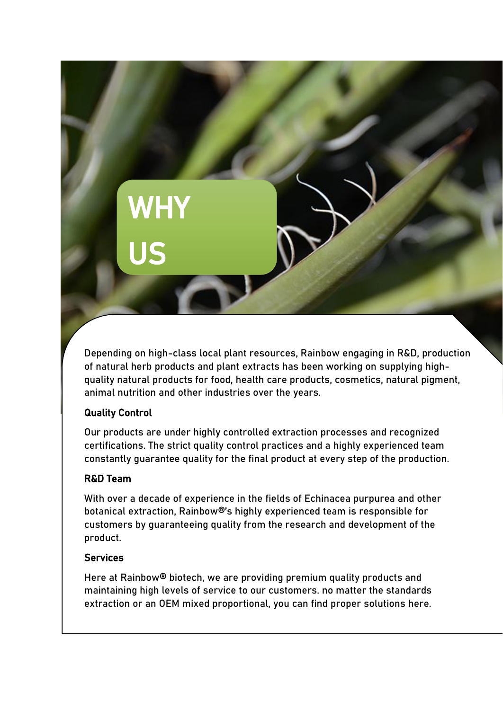# **WHY** US

Depending on high-class local plant resources, Rainbow engaging in R&D, production of natural herb products and plant extracts has been working on supplying high quality natural products for food, health care products, cosmetics, natural pigment, animal nutrition and other industries over the years.

#### Quality Control

Our products are under highly controlled extraction processes and recognized certifications. The strict quality control practices and a highly experienced team constantly guarantee quality for the final product at every step of the production.

#### R&D Team

With over a decade of experience in the fields of Echinacea purpurea and other botanical extraction, Rainbow®'s highly experienced team is responsible for customers by guaranteeing quality from the research and development of the product.

#### Services

Here at Rainbow® biotech, we are providing premium quality products and maintaining high levels of service to our customers. no matter the standards extraction or an OEM mixed proportional, you can find proper solutions here.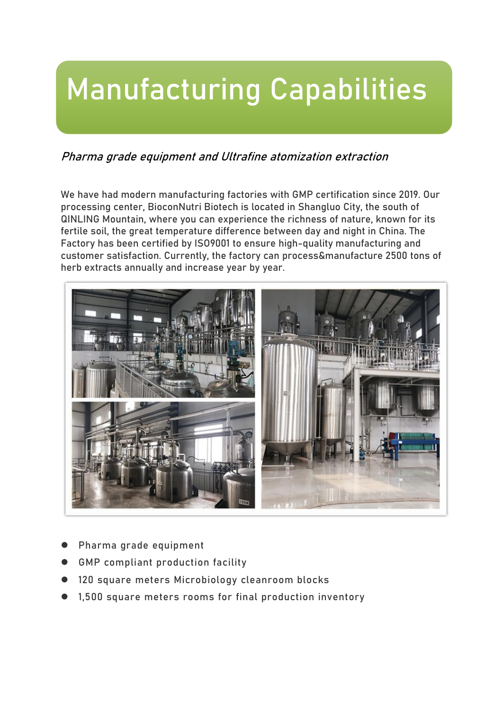### Manufacturing Capabilities

#### Pharma grade equipment and Ultrafine atomization extraction

We have had modern manufacturing factories with GMP certification since 2019. Our processing center, BioconNutri Biotech is located in Shangluo City, the south of QINLING Mountain, where you can experience the richness of nature, known for its fertile soil, the great temperature difference between day and night in China. The Factory has been certified by ISO9001 to ensure high-quality manufacturing and customer satisfaction. Currently, the factory can process&manufacture 2500 tons of herb extracts annually and increase year by year.



- Pharma grade equipment
- GMP compliant production facility
- 120 square meters Microbiology cleanroom blocks
- 1,500 square meters rooms for final production inventory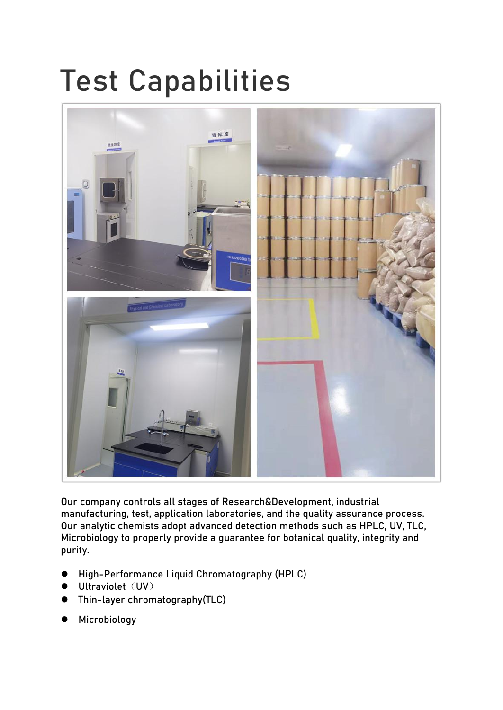### Test Capabilities



Our company controls all stages of Research&Development, industrial manufacturing, test, application laboratories, and the quality assurance process. Our analytic chemists adopt advanced detection methods such as HPLC, UV, TLC, Microbiology to properly provide a guarantee for botanical quality, integrity and purity.

- High-Performance Liquid Chromatography (HPLC)
- Ultraviolet (UV)
- Thin-layer chromatography(TLC)
- Microbiology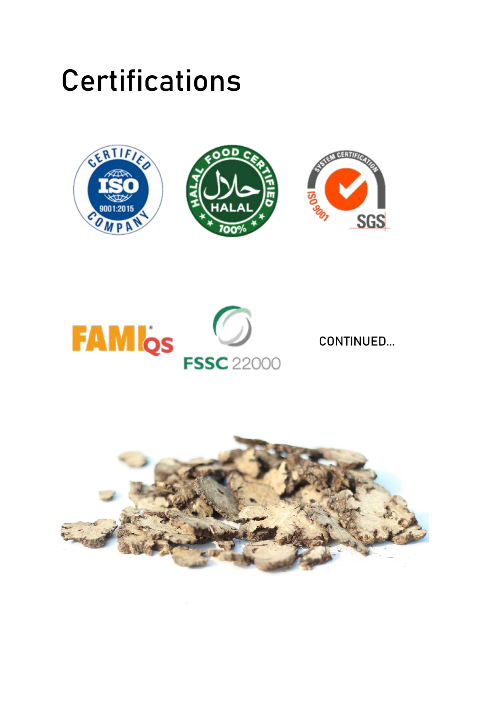### **Certifications**





CONTINUED...

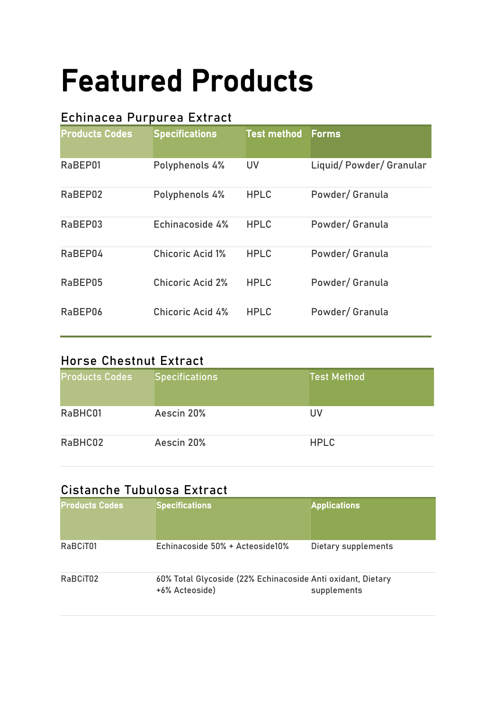# Featured Products

#### Echinacea Purpurea Extract

| <b>Products Codes</b> | <b>Specifications</b>   | <b>Test method</b> | Forms                  |
|-----------------------|-------------------------|--------------------|------------------------|
| RaBEP01               | Polyphenols 4%          | <b>UV</b>          | Liquid/Powder/Granular |
| RaBEP02               | Polyphenols 4%          | <b>HPLC</b>        | Powder/ Granula        |
| RaBEP03               | Echinacoside 4%         | <b>HPLC</b>        | Powder/ Granula        |
| RaBEP04               | <b>Chicoric Acid 1%</b> | <b>HPLC</b>        | Powder/ Granula        |
| RaBEP05               | <b>Chicoric Acid 2%</b> | <b>HPLC</b>        | Powder/ Granula        |
| RaBEP06               | <b>Chicoric Acid 4%</b> | <b>HPLC</b>        | Powder/ Granula        |
|                       |                         |                    |                        |

#### Horse Chestnut Extract

| <b>Products Codes</b> | <b>Specifications</b> | <b>Test Method</b> |
|-----------------------|-----------------------|--------------------|
| RaBHC01               | Aescin 20%            | UV                 |
| RaBHC02               | Aescin 20%            | <b>HPLC</b>        |

#### Cistanche Tubulosa Extract

| <b>Products Codes</b> | <b>Specifications</b>                                                         | <b>Applications</b> |
|-----------------------|-------------------------------------------------------------------------------|---------------------|
| RaBCiT01              | Echinacoside 50% + Acteoside10%                                               | Dietary supplements |
| RaBCiT02              | 60% Total Glycoside (22% Echinacoside Anti oxidant, Dietary<br>+6% Acteoside) | supplements         |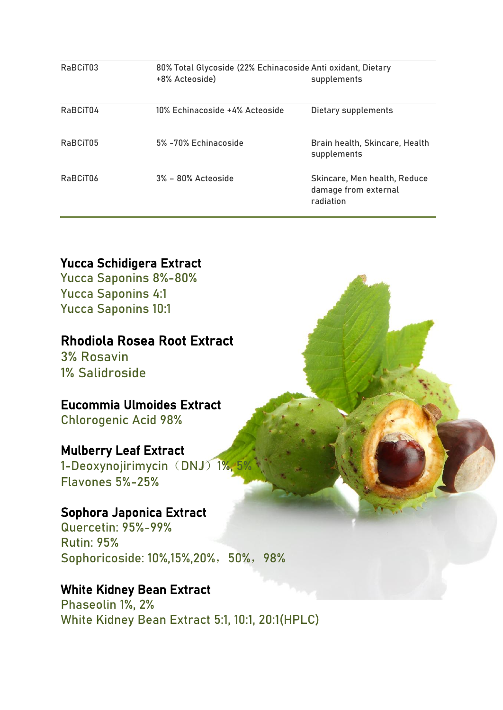| RaBCiT04<br>10% Echinacoside +4% Acteoside<br>Dietary supplements                                   |
|-----------------------------------------------------------------------------------------------------|
| RaBCiT05<br>5% -70% Echinacoside<br>Brain health, Skincare, Health<br>supplements                   |
| RaBCiT06<br>3% - 80% Acteoside<br>Skincare, Men health, Reduce<br>damage from external<br>radiation |

### Yucca Schidigera Extract

Yucca Saponins 8%-80% Yucca Saponins 4:1 Yucca Saponins 10:1

#### Rhodiola Rosea Root Extract

3% Rosavin 1% Salidroside

#### Eucommia Ulmoides Extract

Chlorogenic Acid 98%

#### Mulberry Leaf Extract

1-Deoxynojirimycin (DNJ) 1%, Flavones 5%-25%

#### Sophora Japonica Extract

Quercetin: 95%-99% Rutin: 95% Sophoricoside: 10%,15%,20%, 50%, 98%

#### White Kidney Bean Extract

Phaseolin 1%, 2% White Kidney Bean Extract 5:1, 10:1, 20:1(HPLC)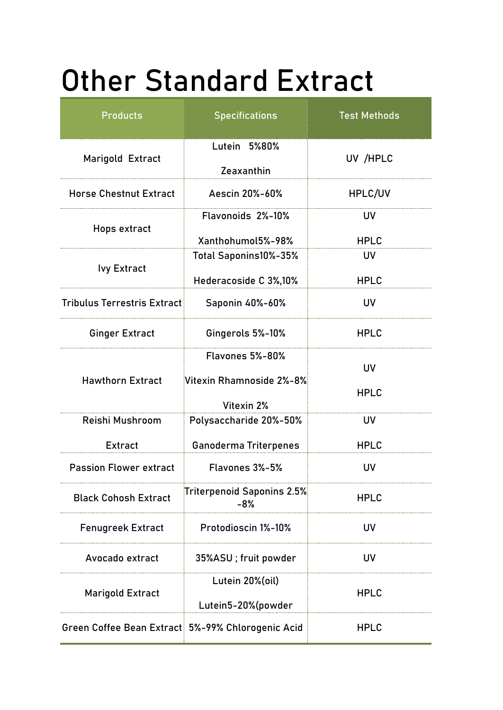## Other Standard Extract

| <b>Products</b>                    | <b>Specifications</b>                             | <b>Test Methods</b> |  |
|------------------------------------|---------------------------------------------------|---------------------|--|
| Marigold Extract                   | Lutein 5%80%<br>Zeaxanthin                        | UV /HPLC            |  |
| <b>Horse Chestnut Extract</b>      | Aescin 20%-60%                                    | HPLC/UV             |  |
| Hops extract                       | Flavonoids 2%-10%                                 | <b>UV</b>           |  |
|                                    | Xanthohumol5%-98%                                 | <b>HPLC</b>         |  |
| <b>Ivy Extract</b>                 | Total Saponins10%-35%                             | UV                  |  |
|                                    | Hederacoside C 3%,10%                             | <b>HPLC</b>         |  |
| <b>Tribulus Terrestris Extract</b> | Saponin 40%-60%                                   | <b>UV</b>           |  |
| <b>Ginger Extract</b>              | Gingerols 5%-10%                                  | <b>HPLC</b>         |  |
| <b>Hawthorn Extract</b>            | <b>Flavones 5%-80%</b>                            | <b>UV</b>           |  |
|                                    | Vitexin Rhamnoside 2%-8%                          | <b>HPLC</b>         |  |
|                                    | Vitexin 2%                                        |                     |  |
| Reishi Mushroom                    | Polysaccharide 20%-50%                            | UV                  |  |
| Extract                            | <b>Ganoderma Triterpenes</b>                      | <b>HPLC</b>         |  |
| <b>Passion Flower extract</b>      | Flavones 3%-5%                                    | <b>UV</b>           |  |
| <b>Black Cohosh Extract</b>        | <b>Triterpenoid Saponins 2.5%</b><br>$-8%$        | <b>HPLC</b>         |  |
| <b>Fenugreek Extract</b>           | <b>Protodioscin 1%-10%</b>                        | UV.                 |  |
| Avocado extract                    | 35%ASU; fruit powder                              | UV.                 |  |
|                                    | Lutein 20%(oil)                                   |                     |  |
| <b>Marigold Extract</b>            | Lutein5-20%(powder                                | <b>HPLC</b>         |  |
|                                    | Green Coffee Bean Extract 5%-99% Chlorogenic Acid | <b>HPLC</b>         |  |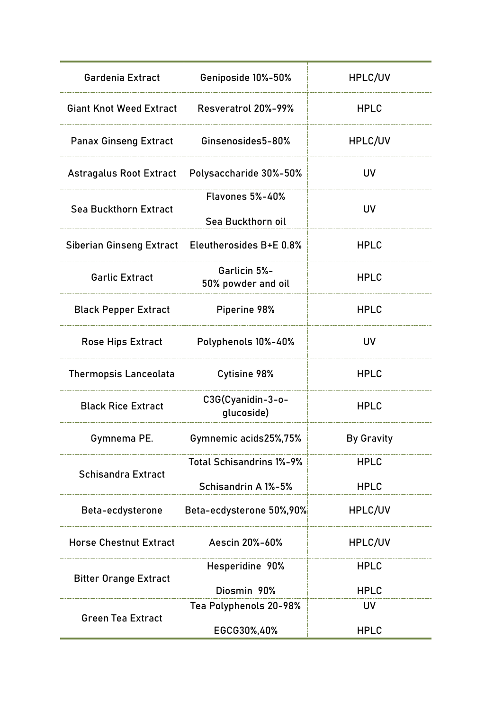| Gardenia Extract                | Geniposide 10%-50%                                     | HPLC/UV                    |
|---------------------------------|--------------------------------------------------------|----------------------------|
| <b>Giant Knot Weed Extract</b>  | Resveratrol 20%-99%                                    | <b>HPLC</b>                |
| <b>Panax Ginseng Extract</b>    | Ginsenosides5-80%                                      | HPLC/UV                    |
| <b>Astragalus Root Extract</b>  | Polysaccharide 30%-50%                                 | <b>UV</b>                  |
| <b>Sea Buckthorn Extract</b>    | <b>Flavones 5%-40%</b><br>Sea Buckthorn oil            | <b>UV</b>                  |
| <b>Siberian Ginseng Extract</b> | Eleutherosides B+E 0.8%                                | <b>HPLC</b>                |
| <b>Garlic Extract</b>           | Garlicin 5%-<br>50% powder and oil                     | <b>HPLC</b>                |
| <b>Black Pepper Extract</b>     | Piperine 98%                                           | <b>HPLC</b>                |
| <b>Rose Hips Extract</b>        | Polyphenols 10%-40%                                    | <b>UV</b>                  |
| <b>Thermopsis Lanceolata</b>    | <b>Cytisine 98%</b>                                    | <b>HPLC</b>                |
| <b>Black Rice Extract</b>       | C3G(Cyanidin-3-o-<br>glucoside)                        | <b>HPLC</b>                |
| Gymnema PE.                     | Gymnemic acids25%,75%                                  | <b>By Gravity</b>          |
| <b>Schisandra Extract</b>       | <b>Total Schisandrins 1%-9%</b><br>Schisandrin A 1%-5% | <b>HPLC</b><br><b>HPLC</b> |
| Beta-ecdysterone                | Beta-ecdysterone 50%,90%                               | HPLC/UV                    |
| <b>Horse Chestnut Extract</b>   | Aescin 20%-60%                                         | HPLC/UV                    |
| <b>Bitter Orange Extract</b>    | Hesperidine 90%                                        | <b>HPLC</b>                |
|                                 | Diosmin 90%<br>Tea Polyphenols 20-98%                  | <b>HPLC</b><br><b>UV</b>   |
| <b>Green Tea Extract</b>        | EGCG30%,40%                                            | <b>HPLC</b>                |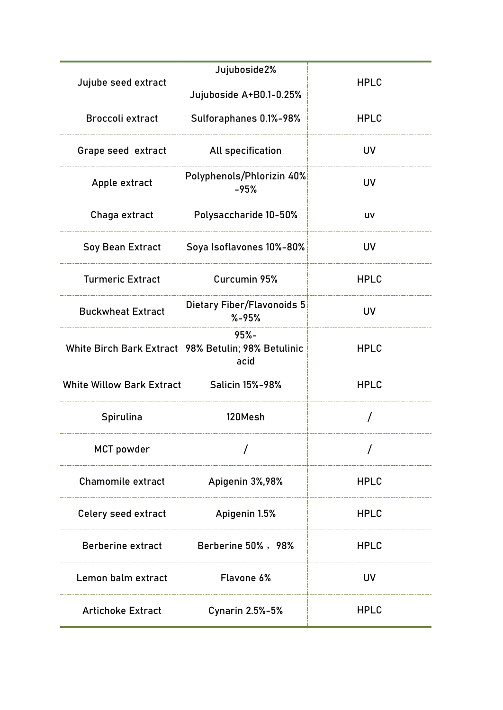| Jujube seed extract       | Jujuboside2%<br>Jujuboside A+B0.1-0.25%                                  | <b>HPLC</b> |
|---------------------------|--------------------------------------------------------------------------|-------------|
| <b>Broccoli extract</b>   | Sulforaphanes 0.1%-98%                                                   | <b>HPLC</b> |
| Grape seed extract        | All specification                                                        | <b>UV</b>   |
| Apple extract             | Polyphenols/Phlorizin 40%<br>$-95%$                                      | <b>UV</b>   |
| Chaga extract             | <b>Polysaccharide 10-50%</b>                                             | UV          |
| Soy Bean Extract          | Soya Isoflavones 10%-80%                                                 | <b>UV</b>   |
| <b>Turmeric Extract</b>   | Curcumin 95%                                                             | <b>HPLC</b> |
| <b>Buckwheat Extract</b>  | <b>Dietary Fiber/Flavonoids 5</b><br>$% -95%$                            | <b>UV</b>   |
|                           | $95% -$<br>White Birch Bark Extract   98% Betulin; 98% Betulinic<br>acid | <b>HPLC</b> |
| White Willow Bark Extract | <b>Salicin 15%-98%</b>                                                   | <b>HPLC</b> |
| Spirulina                 | 120Mesh                                                                  |             |
| <b>MCT</b> powder         |                                                                          |             |
| <b>Chamomile extract</b>  | Apigenin 3%,98%                                                          | <b>HPLC</b> |
| Celery seed extract       | Apigenin 1.5%                                                            | <b>HPLC</b> |
| <b>Berberine extract</b>  | Berberine 50%, 98%                                                       | <b>HPLC</b> |
| Lemon balm extract        | Flavone 6%                                                               | UV          |
| <b>Artichoke Extract</b>  | <b>Cynarin 2.5%-5%</b>                                                   | <b>HPLC</b> |